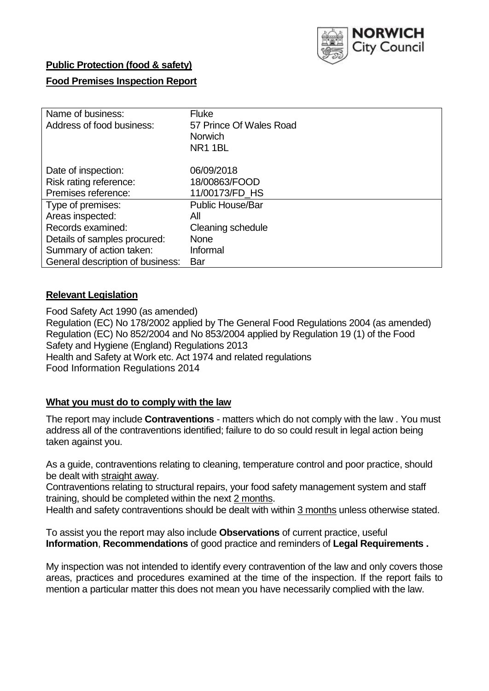

### **Public Protection (food & safety)**

## **Food Premises Inspection Report**

| Name of business:<br>Address of food business: | <b>Fluke</b><br>57 Prince Of Wales Road<br><b>Norwich</b><br><b>NR11BL</b> |
|------------------------------------------------|----------------------------------------------------------------------------|
| Date of inspection:                            | 06/09/2018                                                                 |
| Risk rating reference:                         | 18/00863/FOOD                                                              |
| Premises reference:                            | 11/00173/FD_HS                                                             |
| Type of premises:                              | <b>Public House/Bar</b>                                                    |
| Areas inspected:                               | All                                                                        |
| Records examined:                              | Cleaning schedule                                                          |
| Details of samples procured:                   | <b>None</b>                                                                |
| Summary of action taken:                       | Informal                                                                   |
| General description of business:               | Bar                                                                        |

### **Relevant Legislation**

Food Safety Act 1990 (as amended) Regulation (EC) No 178/2002 applied by The General Food Regulations 2004 (as amended) Regulation (EC) No 852/2004 and No 853/2004 applied by Regulation 19 (1) of the Food Safety and Hygiene (England) Regulations 2013 Health and Safety at Work etc. Act 1974 and related regulations Food Information Regulations 2014

### **What you must do to comply with the law**

The report may include **Contraventions** - matters which do not comply with the law . You must address all of the contraventions identified; failure to do so could result in legal action being taken against you.

As a guide, contraventions relating to cleaning, temperature control and poor practice, should be dealt with straight away.

Contraventions relating to structural repairs, your food safety management system and staff training, should be completed within the next 2 months.

Health and safety contraventions should be dealt with within 3 months unless otherwise stated.

To assist you the report may also include **Observations** of current practice, useful **Information**, **Recommendations** of good practice and reminders of **Legal Requirements .**

My inspection was not intended to identify every contravention of the law and only covers those areas, practices and procedures examined at the time of the inspection. If the report fails to mention a particular matter this does not mean you have necessarily complied with the law.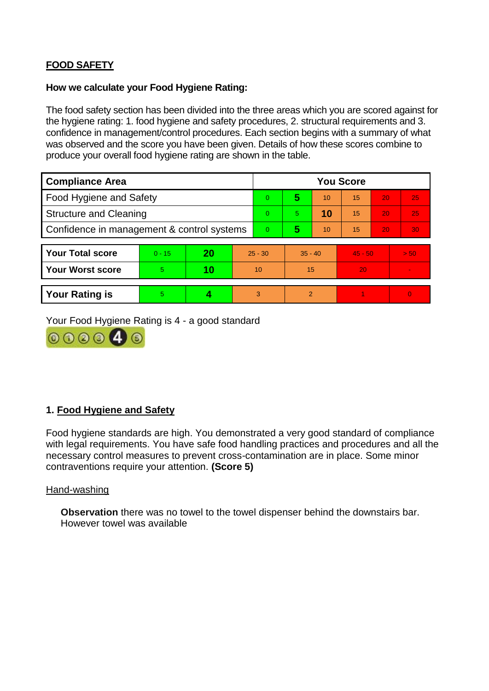# **FOOD SAFETY**

#### **How we calculate your Food Hygiene Rating:**

The food safety section has been divided into the three areas which you are scored against for the hygiene rating: 1. food hygiene and safety procedures, 2. structural requirements and 3. confidence in management/control procedures. Each section begins with a summary of what was observed and the score you have been given. Details of how these scores combine to produce your overall food hygiene rating are shown in the table.

| <b>Compliance Area</b>                     |          |    |           | <b>You Score</b> |                |    |           |    |          |  |  |
|--------------------------------------------|----------|----|-----------|------------------|----------------|----|-----------|----|----------|--|--|
| Food Hygiene and Safety                    |          |    |           | $\Omega$         | 5              | 10 | 15        | 20 | 25       |  |  |
| <b>Structure and Cleaning</b>              |          |    |           | $\Omega$         | 5.             | 10 | 15        | 20 | 25       |  |  |
| Confidence in management & control systems |          |    |           | $\overline{0}$   | 5              | 10 | 15        | 20 | 30       |  |  |
|                                            |          |    |           |                  |                |    |           |    |          |  |  |
| <b>Your Total score</b>                    | $0 - 15$ | 20 | $25 - 30$ |                  | $35 - 40$      |    | $45 - 50$ |    | > 50     |  |  |
| <b>Your Worst score</b>                    | 5.       | 10 | 10        |                  | 15             |    | 20        |    |          |  |  |
|                                            |          |    |           |                  |                |    |           |    |          |  |  |
| <b>Your Rating is</b>                      | 5        |    |           | 3                | $\overline{2}$ |    |           |    | $\Omega$ |  |  |

Your Food Hygiene Rating is 4 - a good standard



## **1. Food Hygiene and Safety**

Food hygiene standards are high. You demonstrated a very good standard of compliance with legal requirements. You have safe food handling practices and procedures and all the necessary control measures to prevent cross-contamination are in place. Some minor contraventions require your attention. **(Score 5)**

### Hand-washing

**Observation** there was no towel to the towel dispenser behind the downstairs bar. However towel was available